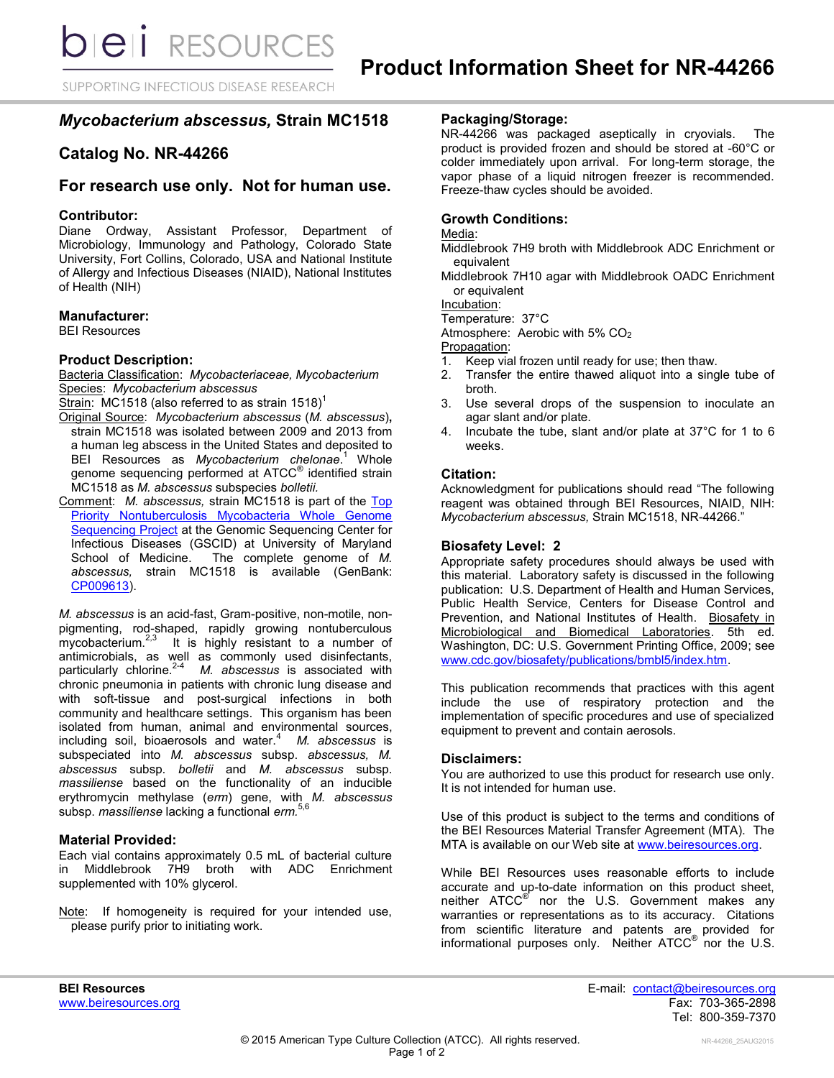SUPPORTING INFECTIOUS DISEASE RESEARCH

# *Mycobacterium abscessus,* **Strain MC1518**

# **Catalog No. NR-44266**

# **For research use only. Not for human use.**

# **Contributor:**

Diane Ordway, Assistant Professor, Department of Microbiology, Immunology and Pathology, Colorado State University, Fort Collins, Colorado, USA and National Institute of Allergy and Infectious Diseases (NIAID), National Institutes of Health (NIH)

# **Manufacturer:**

BEI Resources

# **Product Description:**

Bacteria Classification: *Mycobacteriaceae, Mycobacterium* Species: *Mycobacterium abscessus*

Strain: MC1518 (also referred to as strain 1518)<sup>1</sup>

- Original Source: *Mycobacterium abscessus* (*M. abscessus*)**,** strain MC1518 was isolated between 2009 and 2013 from a human leg abscess in the United States and deposited to BEI Resources as *Mycobacterium chelonae*. <sup>1</sup> Whole genome sequencing performed at ATCC<sup>®</sup> identified strain MC1518 as *M. abscessus* subspecies *bolletii.*
- Comment: *M. abscessus,* strain MC1518 is part of the [Top](http://gscid.igs.umaryland.edu/wp.php?wp=whole_genome_sequencing_of_top_priority_nontuberculous_mycobacteria)  Priority Nontuberculosis Mycobacteria Whole Genome **[Sequencing Project](http://gscid.igs.umaryland.edu/wp.php?wp=whole_genome_sequencing_of_top_priority_nontuberculous_mycobacteria) at the Genomic Sequencing Center for** Infectious Diseases (GSCID) at University of Maryland School of Medicine. The complete genome of *M. abscessus,* strain MC1518 is available (GenBank: [CP009613\)](http://www.ncbi.nlm.nih.gov/nuccore/CP009613).

*M. abscessus* is an acid-fast, Gram-positive, non-motile, nonpigmenting, rod-shaped, rapidly growing nontuberculous mycobacterium.<sup>2,3</sup> It is highly resistant to a number of antimicrobials, as well as commonly used disinfectants, particularly chlorine.2-4 *M. abscessus* is associated with chronic pneumonia in patients with chronic lung disease and with soft-tissue and post-surgical infections in both community and healthcare settings. This organism has been isolated from human, animal and environmental sources, including soil, bioaerosols and water.<sup>4</sup> *M. abscessus* is subspeciated into *M. abscessus* subsp. *abscessus, M. abscessus* subsp. *bolletii* and *M. abscessus* subsp. *massiliense* based on the functionality of an inducible erythromycin methylase (*erm*) gene, with *M. abscessus* subsp. *massiliense* lacking a functional *erm.*5,6

# **Material Provided:**

Each vial contains approximately 0.5 mL of bacterial culture in Middlebrook 7H9 broth with ADC Enrichment supplemented with 10% glycerol.

Note: If homogeneity is required for your intended use, please purify prior to initiating work.

# **Packaging/Storage:**

NR-44266 was packaged aseptically in cryovials. The product is provided frozen and should be stored at -60°C or colder immediately upon arrival. For long-term storage, the vapor phase of a liquid nitrogen freezer is recommended. Freeze-thaw cycles should be avoided.

# **Growth Conditions:**

#### Media:

- Middlebrook 7H9 broth with Middlebrook ADC Enrichment or equivalent
- Middlebrook 7H10 agar with Middlebrook OADC Enrichment or equivalent

Incubation:

Temperature: 37°C

Atmosphere: Aerobic with 5% CO<sup>2</sup>

Propagation:

- 1. Keep vial frozen until ready for use; then thaw.
- 2. Transfer the entire thawed aliquot into a single tube of broth.
- 3. Use several drops of the suspension to inoculate an agar slant and/or plate.
- 4. Incubate the tube, slant and/or plate at 37°C for 1 to 6 weeks.

# **Citation:**

Acknowledgment for publications should read "The following reagent was obtained through BEI Resources, NIAID, NIH: *Mycobacterium abscessus,* Strain MC1518, NR-44266."

# **Biosafety Level: 2**

Appropriate safety procedures should always be used with this material. Laboratory safety is discussed in the following publication: U.S. Department of Health and Human Services, Public Health Service, Centers for Disease Control and Prevention, and National Institutes of Health. Biosafety in Microbiological and Biomedical Laboratories. 5th ed. Washington, DC: U.S. Government Printing Office, 2009; see [www.cdc.gov/biosafety/publications/bmbl5/index.htm.](http://www.cdc.gov/biosafety/publications/bmbl5/index.htm)

This publication recommends that practices with this agent include the use of respiratory protection and the implementation of specific procedures and use of specialized equipment to prevent and contain aerosols.

# **Disclaimers:**

You are authorized to use this product for research use only. It is not intended for human use.

Use of this product is subject to the terms and conditions of the BEI Resources Material Transfer Agreement (MTA). The MTA is available on our Web site at [www.beiresources.org.](http://www.beiresources.org/)

While BEI Resources uses reasonable efforts to include accurate and up-to-date information on this product sheet, neither ATCC<sup>®</sup> nor the U.S. Government makes any warranties or representations as to its accuracy. Citations from scientific literature and patents are provided for informational purposes only. Neither  $\tt ATCC^@$  nor the U.S.

**BEI Resources** E-mail: [contact@beiresources.org](mailto:contact@beiresources.org) [www.beiresources.org](http://www.beiresources.org/) Fax: 703-365-2898 Tel: 800-359-7370